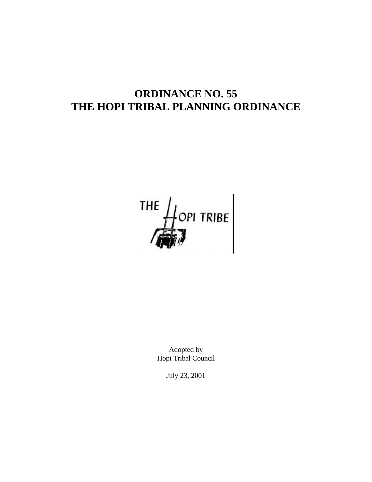# **ORDINANCE NO. 55 THE HOPI TRIBAL PLANNING ORDINANCE**

THE  $\frac{1}{\sqrt{2}}$  OPI TRIBE

Adopted by Hopi Tribal Council

July 23, 2001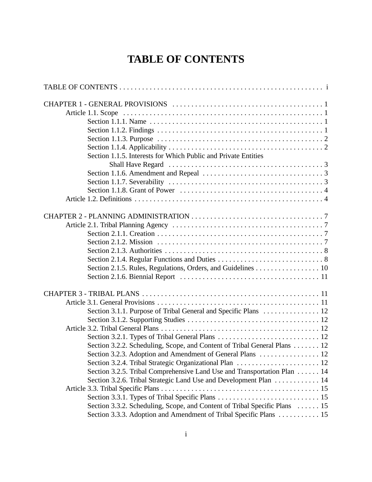# **TABLE OF CONTENTS**

| Section 1.1.5. Interests for Which Public and Private Entities                                                                                   |
|--------------------------------------------------------------------------------------------------------------------------------------------------|
|                                                                                                                                                  |
|                                                                                                                                                  |
|                                                                                                                                                  |
|                                                                                                                                                  |
|                                                                                                                                                  |
|                                                                                                                                                  |
|                                                                                                                                                  |
|                                                                                                                                                  |
| Section 2.1.5. Rules, Regulations, Orders, and Guidelines 10                                                                                     |
|                                                                                                                                                  |
| Section 3.1.1. Purpose of Tribal General and Specific Plans  12                                                                                  |
|                                                                                                                                                  |
|                                                                                                                                                  |
| Section 3.2.2. Scheduling, Scope, and Content of Tribal General Plans 12                                                                         |
| Section 3.2.3. Adoption and Amendment of General Plans  12                                                                                       |
| Section 3.2.5. Tribal Comprehensive Land Use and Transportation Plan 14                                                                          |
| Section 3.2.6. Tribal Strategic Land Use and Development Plan 14                                                                                 |
|                                                                                                                                                  |
| Section 3.3.2. Scheduling, Scope, and Content of Tribal Specific Plans  15<br>Section 3.3.3. Adoption and Amendment of Tribal Specific Plans  15 |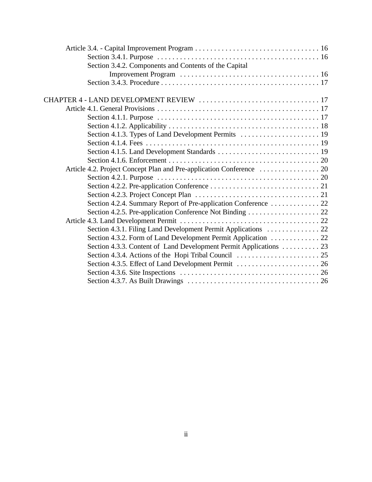| Section 3.4.2. Components and Contents of the Capital              |  |
|--------------------------------------------------------------------|--|
|                                                                    |  |
|                                                                    |  |
|                                                                    |  |
|                                                                    |  |
|                                                                    |  |
|                                                                    |  |
|                                                                    |  |
|                                                                    |  |
|                                                                    |  |
|                                                                    |  |
|                                                                    |  |
|                                                                    |  |
|                                                                    |  |
|                                                                    |  |
|                                                                    |  |
| Section 4.2.4. Summary Report of Pre-application Conference  22    |  |
|                                                                    |  |
|                                                                    |  |
| Section 4.3.1. Filing Land Development Permit Applications  22     |  |
| Section 4.3.2. Form of Land Development Permit Application 22      |  |
| Section 4.3.3. Content of Land Development Permit Applications  23 |  |
|                                                                    |  |
|                                                                    |  |
|                                                                    |  |
|                                                                    |  |
|                                                                    |  |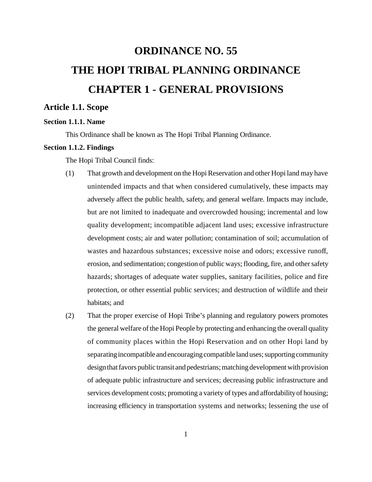# **ORDINANCE NO. 55 THE HOPI TRIBAL PLANNING ORDINANCE CHAPTER 1 - GENERAL PROVISIONS**

# **Article 1.1. Scope**

# **Section 1.1.1. Name**

This Ordinance shall be known as The Hopi Tribal Planning Ordinance.

# **Section 1.1.2. Findings**

The Hopi Tribal Council finds:

- (1) That growth and development on the Hopi Reservation and other Hopi land may have unintended impacts and that when considered cumulatively, these impacts may adversely affect the public health, safety, and general welfare. Impacts may include, but are not limited to inadequate and overcrowded housing; incremental and low quality development; incompatible adjacent land uses; excessive infrastructure development costs; air and water pollution; contamination of soil; accumulation of wastes and hazardous substances; excessive noise and odors; excessive runoff, erosion, and sedimentation; congestion of public ways; flooding, fire, and other safety hazards; shortages of adequate water supplies, sanitary facilities, police and fire protection, or other essential public services; and destruction of wildlife and their habitats; and
- (2) That the proper exercise of Hopi Tribe's planning and regulatory powers promotes the general welfare of the Hopi People by protecting and enhancing the overall quality of community places within the Hopi Reservation and on other Hopi land by separating incompatible and encouraging compatible land uses; supporting community design that favors public transit and pedestrians; matching development with provision of adequate public infrastructure and services; decreasing public infrastructure and services development costs; promoting a variety of types and affordability of housing; increasing efficiency in transportation systems and networks; lessening the use of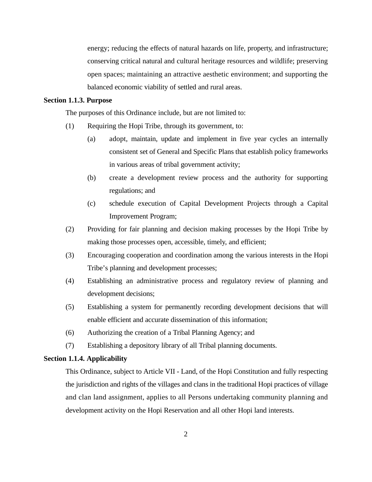energy; reducing the effects of natural hazards on life, property, and infrastructure; conserving critical natural and cultural heritage resources and wildlife; preserving open spaces; maintaining an attractive aesthetic environment; and supporting the balanced economic viability of settled and rural areas.

## **Section 1.1.3. Purpose**

The purposes of this Ordinance include, but are not limited to:

- (1) Requiring the Hopi Tribe, through its government, to:
	- (a) adopt, maintain, update and implement in five year cycles an internally consistent set of General and Specific Plans that establish policy frameworks in various areas of tribal government activity;
	- (b) create a development review process and the authority for supporting regulations; and
	- (c) schedule execution of Capital Development Projects through a Capital Improvement Program;
- (2) Providing for fair planning and decision making processes by the Hopi Tribe by making those processes open, accessible, timely, and efficient;
- (3) Encouraging cooperation and coordination among the various interests in the Hopi Tribe's planning and development processes;
- (4) Establishing an administrative process and regulatory review of planning and development decisions;
- (5) Establishing a system for permanently recording development decisions that will enable efficient and accurate dissemination of this information;
- (6) Authorizing the creation of a Tribal Planning Agency; and
- (7) Establishing a depository library of all Tribal planning documents.

#### **Section 1.1.4. Applicability**

This Ordinance, subject to Article VII - Land, of the Hopi Constitution and fully respecting the jurisdiction and rights of the villages and clans in the traditional Hopi practices of village and clan land assignment, applies to all Persons undertaking community planning and development activity on the Hopi Reservation and all other Hopi land interests.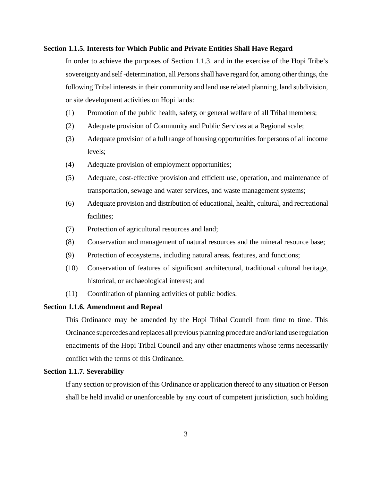#### **Section 1.1.5. Interests for Which Public and Private Entities Shall Have Regard**

In order to achieve the purposes of Section 1.1.3. and in the exercise of the Hopi Tribe's sovereignty and self -determination, all Persons shall have regard for, among other things, the following Tribal interests in their community and land use related planning, land subdivision, or site development activities on Hopi lands:

- (1) Promotion of the public health, safety, or general welfare of all Tribal members;
- (2) Adequate provision of Community and Public Services at a Regional scale;
- (3) Adequate provision of a full range of housing opportunities for persons of all income levels;
- (4) Adequate provision of employment opportunities;
- (5) Adequate, cost-effective provision and efficient use, operation, and maintenance of transportation, sewage and water services, and waste management systems;
- (6) Adequate provision and distribution of educational, health, cultural, and recreational facilities;
- (7) Protection of agricultural resources and land;
- (8) Conservation and management of natural resources and the mineral resource base;
- (9) Protection of ecosystems, including natural areas, features, and functions;
- (10) Conservation of features of significant architectural, traditional cultural heritage, historical, or archaeological interest; and
- (11) Coordination of planning activities of public bodies.

#### **Section 1.1.6. Amendment and Repeal**

This Ordinance may be amended by the Hopi Tribal Council from time to time. This Ordinance supercedes and replaces all previous planning procedure and/or land use regulation enactments of the Hopi Tribal Council and any other enactments whose terms necessarily conflict with the terms of this Ordinance.

#### **Section 1.1.7. Severability**

If any section or provision of this Ordinance or application thereof to any situation or Person shall be held invalid or unenforceable by any court of competent jurisdiction, such holding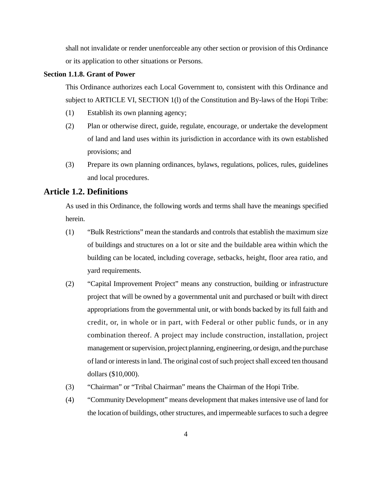shall not invalidate or render unenforceable any other section or provision of this Ordinance or its application to other situations or Persons.

# **Section 1.1.8. Grant of Power**

This Ordinance authorizes each Local Government to, consistent with this Ordinance and subject to ARTICLE VI, SECTION 1(l) of the Constitution and By-laws of the Hopi Tribe:

- (1) Establish its own planning agency;
- (2) Plan or otherwise direct, guide, regulate, encourage, or undertake the development of land and land uses within its jurisdiction in accordance with its own established provisions; and
- (3) Prepare its own planning ordinances, bylaws, regulations, polices, rules, guidelines and local procedures.

# **Article 1.2. Definitions**

As used in this Ordinance, the following words and terms shall have the meanings specified herein.

- (1) "Bulk Restrictions" mean the standards and controls that establish the maximum size of buildings and structures on a lot or site and the buildable area within which the building can be located, including coverage, setbacks, height, floor area ratio, and yard requirements.
- (2) "Capital Improvement Project" means any construction, building or infrastructure project that will be owned by a governmental unit and purchased or built with direct appropriations from the governmental unit, or with bonds backed by its full faith and credit, or, in whole or in part, with Federal or other public funds, or in any combination thereof. A project may include construction, installation, project management or supervision, project planning, engineering, or design, and the purchase of land or interests in land. The original cost of such project shall exceed ten thousand dollars (\$10,000).
- (3) "Chairman" or "Tribal Chairman" means the Chairman of the Hopi Tribe.
- (4) "Community Development" means development that makes intensive use of land for the location of buildings, other structures, and impermeable surfaces to such a degree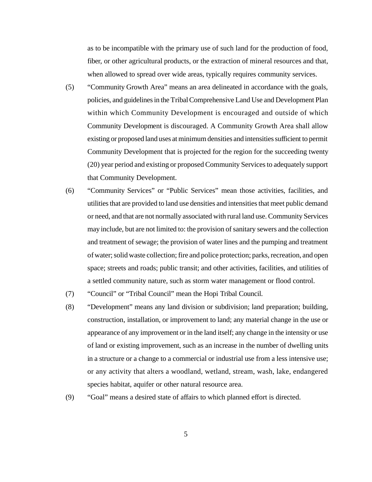as to be incompatible with the primary use of such land for the production of food, fiber, or other agricultural products, or the extraction of mineral resources and that, when allowed to spread over wide areas, typically requires community services.

- (5) "Community Growth Area" means an area delineated in accordance with the goals, policies, and guidelines in the Tribal Comprehensive Land Use and Development Plan within which Community Development is encouraged and outside of which Community Development is discouraged. A Community Growth Area shall allow existing or proposed land uses at minimum densities and intensities sufficient to permit Community Development that is projected for the region for the succeeding twenty (20) year period and existing or proposed Community Services to adequately support that Community Development.
- (6) "Community Services" or "Public Services" mean those activities, facilities, and utilities that are provided to land use densities and intensities that meet public demand or need, and that are not normally associated with rural land use. Community Services may include, but are not limited to: the provision of sanitary sewers and the collection and treatment of sewage; the provision of water lines and the pumping and treatment of water; solid waste collection; fire and police protection; parks, recreation, and open space; streets and roads; public transit; and other activities, facilities, and utilities of a settled community nature, such as storm water management or flood control.
- (7) "Council" or "Tribal Council" mean the Hopi Tribal Council.
- (8) "Development" means any land division or subdivision; land preparation; building, construction, installation, or improvement to land; any material change in the use or appearance of any improvement or in the land itself; any change in the intensity or use of land or existing improvement, such as an increase in the number of dwelling units in a structure or a change to a commercial or industrial use from a less intensive use; or any activity that alters a woodland, wetland, stream, wash, lake, endangered species habitat, aquifer or other natural resource area.
- (9) "Goal" means a desired state of affairs to which planned effort is directed.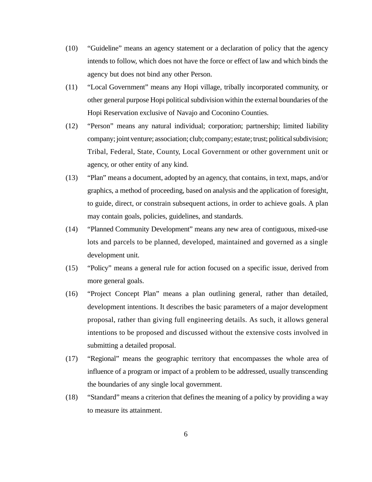- (10) "Guideline" means an agency statement or a declaration of policy that the agency intends to follow, which does not have the force or effect of law and which binds the agency but does not bind any other Person.
- (11) "Local Government" means any Hopi village, tribally incorporated community, or other general purpose Hopi political subdivision within the external boundaries of the Hopi Reservation exclusive of Navajo and Coconino Counties.
- (12) "Person" means any natural individual; corporation; partnership; limited liability company; joint venture; association; club; company; estate; trust; political subdivision; Tribal, Federal, State, County, Local Government or other government unit or agency, or other entity of any kind.
- (13) "Plan" means a document, adopted by an agency, that contains, in text, maps, and/or graphics, a method of proceeding, based on analysis and the application of foresight, to guide, direct, or constrain subsequent actions, in order to achieve goals. A plan may contain goals, policies, guidelines, and standards.
- (14) "Planned Community Development" means any new area of contiguous, mixed-use lots and parcels to be planned, developed, maintained and governed as a single development unit.
- (15) "Policy" means a general rule for action focused on a specific issue, derived from more general goals.
- (16) "Project Concept Plan" means a plan outlining general, rather than detailed, development intentions. It describes the basic parameters of a major development proposal, rather than giving full engineering details. As such, it allows general intentions to be proposed and discussed without the extensive costs involved in submitting a detailed proposal.
- (17) "Regional" means the geographic territory that encompasses the whole area of influence of a program or impact of a problem to be addressed, usually transcending the boundaries of any single local government.
- (18) "Standard" means a criterion that defines the meaning of a policy by providing a way to measure its attainment.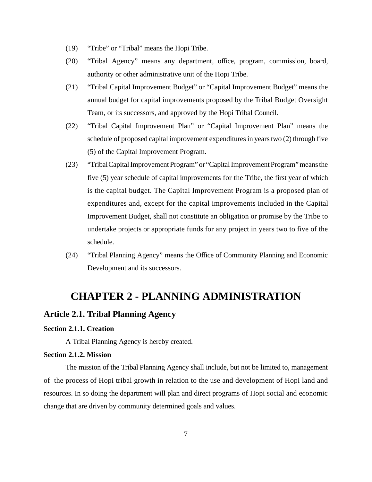- (19) "Tribe" or "Tribal" means the Hopi Tribe.
- (20) "Tribal Agency" means any department, office, program, commission, board, authority or other administrative unit of the Hopi Tribe.
- (21) "Tribal Capital Improvement Budget" or "Capital Improvement Budget" means the annual budget for capital improvements proposed by the Tribal Budget Oversight Team, or its successors, and approved by the Hopi Tribal Council.
- (22) "Tribal Capital Improvement Plan" or "Capital Improvement Plan" means the schedule of proposed capital improvement expenditures in years two (2) through five (5) of the Capital Improvement Program.
- (23) "Tribal Capital Improvement Program" or "Capital Improvement Program" means the five (5) year schedule of capital improvements for the Tribe, the first year of which is the capital budget. The Capital Improvement Program is a proposed plan of expenditures and, except for the capital improvements included in the Capital Improvement Budget, shall not constitute an obligation or promise by the Tribe to undertake projects or appropriate funds for any project in years two to five of the schedule.
- (24) "Tribal Planning Agency" means the Office of Community Planning and Economic Development and its successors.

# **CHAPTER 2 - PLANNING ADMINISTRATION**

# **Article 2.1. Tribal Planning Agency**

#### **Section 2.1.1. Creation**

A Tribal Planning Agency is hereby created.

#### **Section 2.1.2. Mission**

The mission of the Tribal Planning Agency shall include, but not be limited to, management of the process of Hopi tribal growth in relation to the use and development of Hopi land and resources. In so doing the department will plan and direct programs of Hopi social and economic change that are driven by community determined goals and values.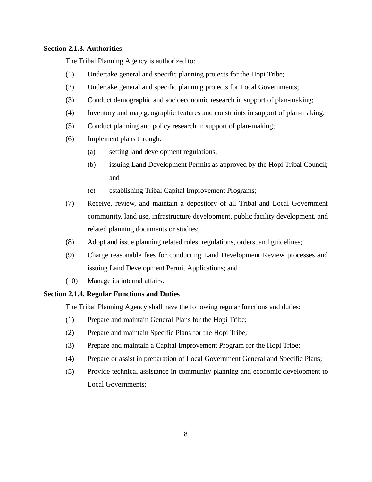## **Section 2.1.3. Authorities**

The Tribal Planning Agency is authorized to:

- (1) Undertake general and specific planning projects for the Hopi Tribe;
- (2) Undertake general and specific planning projects for Local Governments;
- (3) Conduct demographic and socioeconomic research in support of plan-making;
- (4) Inventory and map geographic features and constraints in support of plan-making;
- (5) Conduct planning and policy research in support of plan-making;
- (6) Implement plans through:
	- (a) setting land development regulations;
	- (b) issuing Land Development Permits as approved by the Hopi Tribal Council; and
	- (c) establishing Tribal Capital Improvement Programs;
- (7) Receive, review, and maintain a depository of all Tribal and Local Government community, land use, infrastructure development, public facility development, and related planning documents or studies;
- (8) Adopt and issue planning related rules, regulations, orders, and guidelines;
- (9) Charge reasonable fees for conducting Land Development Review processes and issuing Land Development Permit Applications; and
- (10) Manage its internal affairs.

# **Section 2.1.4. Regular Functions and Duties**

The Tribal Planning Agency shall have the following regular functions and duties:

- (1) Prepare and maintain General Plans for the Hopi Tribe;
- (2) Prepare and maintain Specific Plans for the Hopi Tribe;
- (3) Prepare and maintain a Capital Improvement Program for the Hopi Tribe;
- (4) Prepare or assist in preparation of Local Government General and Specific Plans;
- (5) Provide technical assistance in community planning and economic development to Local Governments;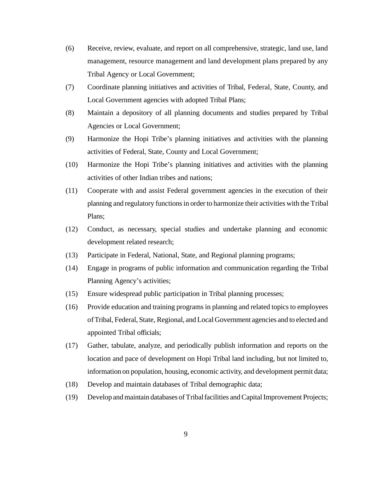- (6) Receive, review, evaluate, and report on all comprehensive, strategic, land use, land management, resource management and land development plans prepared by any Tribal Agency or Local Government;
- (7) Coordinate planning initiatives and activities of Tribal, Federal, State, County, and Local Government agencies with adopted Tribal Plans;
- (8) Maintain a depository of all planning documents and studies prepared by Tribal Agencies or Local Government;
- (9) Harmonize the Hopi Tribe's planning initiatives and activities with the planning activities of Federal, State, County and Local Government;
- (10) Harmonize the Hopi Tribe's planning initiatives and activities with the planning activities of other Indian tribes and nations;
- (11) Cooperate with and assist Federal government agencies in the execution of their planning and regulatory functions in order to harmonize their activities with the Tribal Plans;
- (12) Conduct, as necessary, special studies and undertake planning and economic development related research;
- (13) Participate in Federal, National, State, and Regional planning programs;
- (14) Engage in programs of public information and communication regarding the Tribal Planning Agency's activities;
- (15) Ensure widespread public participation in Tribal planning processes;
- (16) Provide education and training programs in planning and related topics to employees of Tribal, Federal, State, Regional, and Local Government agencies and to elected and appointed Tribal officials;
- (17) Gather, tabulate, analyze, and periodically publish information and reports on the location and pace of development on Hopi Tribal land including, but not limited to, information on population, housing, economic activity, and development permit data;
- (18) Develop and maintain databases of Tribal demographic data;
- (19) Develop and maintain databases of Tribal facilities and Capital Improvement Projects;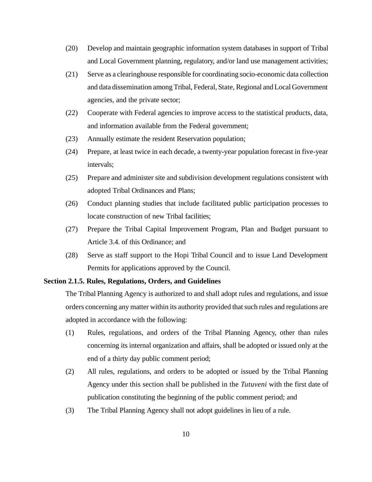- (20) Develop and maintain geographic information system databases in support of Tribal and Local Government planning, regulatory, and/or land use management activities;
- (21) Serve as a clearinghouse responsible for coordinating socio-economic data collection and data dissemination among Tribal, Federal, State, Regional and Local Government agencies, and the private sector;
- (22) Cooperate with Federal agencies to improve access to the statistical products, data, and information available from the Federal government;
- (23) Annually estimate the resident Reservation population;
- (24) Prepare, at least twice in each decade, a twenty-year population forecast in five-year intervals;
- (25) Prepare and administer site and subdivision development regulations consistent with adopted Tribal Ordinances and Plans;
- (26) Conduct planning studies that include facilitated public participation processes to locate construction of new Tribal facilities;
- (27) Prepare the Tribal Capital Improvement Program, Plan and Budget pursuant to Article 3.4. of this Ordinance; and
- (28) Serve as staff support to the Hopi Tribal Council and to issue Land Development Permits for applications approved by the Council.

#### **Section 2.1.5. Rules, Regulations, Orders, and Guidelines**

The Tribal Planning Agency is authorized to and shall adopt rules and regulations, and issue orders concerning any matter within its authority provided that such rules and regulations are adopted in accordance with the following:

- (1) Rules, regulations, and orders of the Tribal Planning Agency, other than rules concerning its internal organization and affairs, shall be adopted or issued only at the end of a thirty day public comment period;
- (2) All rules, regulations, and orders to be adopted or issued by the Tribal Planning Agency under this section shall be published in the *Tutuveni* with the first date of publication constituting the beginning of the public comment period; and
- (3) The Tribal Planning Agency shall not adopt guidelines in lieu of a rule.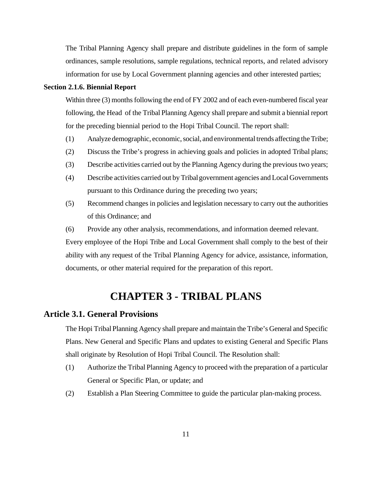The Tribal Planning Agency shall prepare and distribute guidelines in the form of sample ordinances, sample resolutions, sample regulations, technical reports, and related advisory information for use by Local Government planning agencies and other interested parties;

#### **Section 2.1.6. Biennial Report**

Within three (3) months following the end of FY 2002 and of each even-numbered fiscal year following, the Head of the Tribal Planning Agency shall prepare and submit a biennial report for the preceding biennial period to the Hopi Tribal Council. The report shall:

- (1) Analyze demographic, economic, social, and environmental trends affecting the Tribe;
- (2) Discuss the Tribe's progress in achieving goals and policies in adopted Tribal plans;
- (3) Describe activities carried out by the Planning Agency during the previous two years;
- (4) Describe activities carried out by Tribal government agencies and Local Governments pursuant to this Ordinance during the preceding two years;
- (5) Recommend changes in policies and legislation necessary to carry out the authorities of this Ordinance; and
- (6) Provide any other analysis, recommendations, and information deemed relevant.

Every employee of the Hopi Tribe and Local Government shall comply to the best of their ability with any request of the Tribal Planning Agency for advice, assistance, information, documents, or other material required for the preparation of this report.

# **CHAPTER 3 - TRIBAL PLANS**

#### **Article 3.1. General Provisions**

The Hopi Tribal Planning Agency shall prepare and maintain the Tribe's General and Specific Plans. New General and Specific Plans and updates to existing General and Specific Plans shall originate by Resolution of Hopi Tribal Council. The Resolution shall:

- (1) Authorize the Tribal Planning Agency to proceed with the preparation of a particular General or Specific Plan, or update; and
- (2) Establish a Plan Steering Committee to guide the particular plan-making process.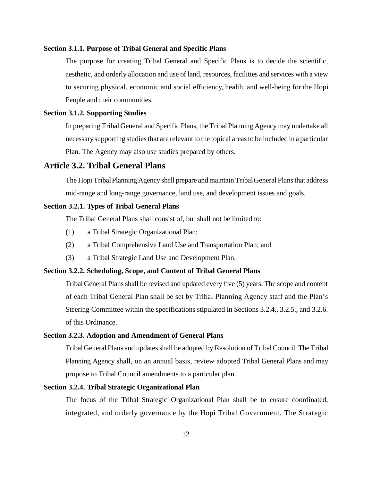#### **Section 3.1.1. Purpose of Tribal General and Specific Plans**

The purpose for creating Tribal General and Specific Plans is to decide the scientific, aesthetic, and orderly allocation and use of land, resources, facilities and services with a view to securing physical, economic and social efficiency, health, and well-being for the Hopi People and their communities.

#### **Section 3.1.2. Supporting Studies**

In preparing Tribal General and Specific Plans, the Tribal Planning Agency may undertake all necessary supporting studies that are relevant to the topical areas to be included in a particular Plan. The Agency may also use studies prepared by others.

# **Article 3.2. Tribal General Plans**

The Hopi Tribal Planning Agency shall prepare and maintain Tribal General Plans that address mid-range and long-range governance, land use, and development issues and goals.

#### **Section 3.2.1. Types of Tribal General Plans**

The Tribal General Plans shall consist of, but shall not be limited to:

- (1) a Tribal Strategic Organizational Plan;
- (2) a Tribal Comprehensive Land Use and Transportation Plan; and
- (3) a Tribal Strategic Land Use and Development Plan.

#### **Section 3.2.2. Scheduling, Scope, and Content of Tribal General Plans**

Tribal General Plans shall be revised and updated every five (5) years. The scope and content of each Tribal General Plan shall be set by Tribal Planning Agency staff and the Plan's Steering Committee within the specifications stipulated in Sections 3.2.4., 3.2.5., and 3.2.6. of this Ordinance.

#### **Section 3.2.3. Adoption and Amendment of General Plans**

Tribal General Plans and updates shall be adopted by Resolution of Tribal Council. The Tribal Planning Agency shall, on an annual basis, review adopted Tribal General Plans and may propose to Tribal Council amendments to a particular plan.

#### **Section 3.2.4. Tribal Strategic Organizational Plan**

The focus of the Tribal Strategic Organizational Plan shall be to ensure coordinated, integrated, and orderly governance by the Hopi Tribal Government. The Strategic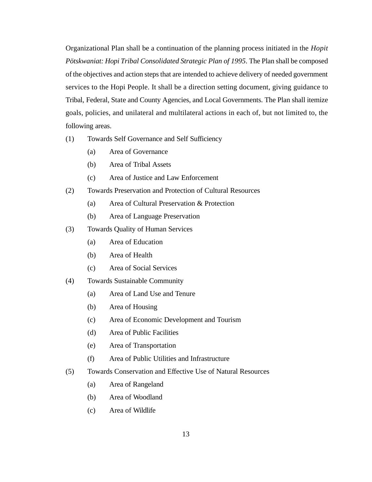Organizational Plan shall be a continuation of the planning process initiated in the *Hopit Pötskwaniat: Hopi Tribal Consolidated Strategic Plan of 1995*. The Plan shall be composed of the objectives and action steps that are intended to achieve delivery of needed government services to the Hopi People. It shall be a direction setting document, giving guidance to Tribal, Federal, State and County Agencies, and Local Governments. The Plan shall itemize goals, policies, and unilateral and multilateral actions in each of, but not limited to, the following areas.

- (1) Towards Self Governance and Self Sufficiency
	- (a) Area of Governance
	- (b) Area of Tribal Assets
	- (c) Area of Justice and Law Enforcement
- (2) Towards Preservation and Protection of Cultural Resources
	- (a) Area of Cultural Preservation & Protection
	- (b) Area of Language Preservation
- (3) Towards Quality of Human Services
	- (a) Area of Education
	- (b) Area of Health
	- (c) Area of Social Services
- (4) Towards Sustainable Community
	- (a) Area of Land Use and Tenure
	- (b) Area of Housing
	- (c) Area of Economic Development and Tourism
	- (d) Area of Public Facilities
	- (e) Area of Transportation
	- (f) Area of Public Utilities and Infrastructure
- (5) Towards Conservation and Effective Use of Natural Resources
	- (a) Area of Rangeland
	- (b) Area of Woodland
	- (c) Area of Wildlife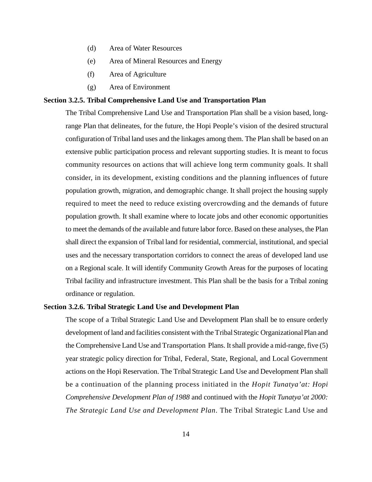- (d) Area of Water Resources
- (e) Area of Mineral Resources and Energy
- (f) Area of Agriculture
- (g) Area of Environment

# **Section 3.2.5. Tribal Comprehensive Land Use and Transportation Plan**

The Tribal Comprehensive Land Use and Transportation Plan shall be a vision based, longrange Plan that delineates, for the future, the Hopi People's vision of the desired structural configuration of Tribal land uses and the linkages among them. The Plan shall be based on an extensive public participation process and relevant supporting studies. It is meant to focus community resources on actions that will achieve long term community goals. It shall consider, in its development, existing conditions and the planning influences of future population growth, migration, and demographic change. It shall project the housing supply required to meet the need to reduce existing overcrowding and the demands of future population growth. It shall examine where to locate jobs and other economic opportunities to meet the demands of the available and future labor force. Based on these analyses, the Plan shall direct the expansion of Tribal land for residential, commercial, institutional, and special uses and the necessary transportation corridors to connect the areas of developed land use on a Regional scale. It will identify Community Growth Areas for the purposes of locating Tribal facility and infrastructure investment. This Plan shall be the basis for a Tribal zoning ordinance or regulation.

#### **Section 3.2.6. Tribal Strategic Land Use and Development Plan**

The scope of a Tribal Strategic Land Use and Development Plan shall be to ensure orderly development of land and facilities consistent with the Tribal Strategic Organizational Plan and the Comprehensive Land Use and Transportation Plans. It shall provide a mid-range, five (5) year strategic policy direction for Tribal, Federal, State, Regional, and Local Government actions on the Hopi Reservation. The Tribal Strategic Land Use and Development Plan shall be a continuation of the planning process initiated in the *Hopit Tunatya'at: Hopi Comprehensive Development Plan of 1988* and continued with the *Hopit Tunatya'at 2000: The Strategic Land Use and Development Plan*. The Tribal Strategic Land Use and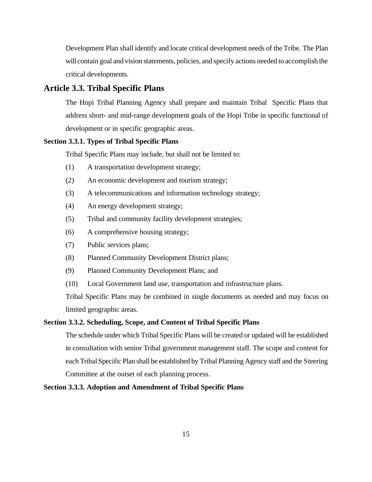Development Plan shall identify and locate critical development needs of the Tribe. The Plan will contain goal and vision statements, policies, and specify actions needed to accomplish the critical developments.

# **Article 3.3. Tribal Specific Plans**

The Hopi Tribal Planning Agency shall prepare and maintain Tribal Specific Plans that address short- and mid-range development goals of the Hopi Tribe in specific functional of development or in specific geographic areas.

## **Section 3.3.1. Types of Tribal Specific Plans**

Tribal Specific Plans may include, but shall not be limited to:

- (1) A transportation development strategy;
- (2) An economic development and tourism strategy;
- (3) A telecommunications and information technology strategy;
- (4) An energy development strategy;
- (5) Tribal and community facility development strategies;
- (6) A comprehensive housing strategy;
- (7) Public services plans;
- (8) Planned Community Development District plans;
- (9) Planned Community Development Plans; and
- (10) Local Government land use, transportation and infrastructure plans.

Tribal Specific Plans may be combined in single documents as needed and may focus on limited geographic areas.

#### **Section 3.3.2. Scheduling, Scope, and Content of Tribal Specific Plans**

The schedule under which Tribal Specific Plans will be created or updated will be established in consultation with senior Tribal government management staff. The scope and content for each Tribal Specific Plan shall be established by Tribal Planning Agency staff and the Steering Committee at the outset of each planning process.

#### **Section 3.3.3. Adoption and Amendment of Tribal Specific Plans**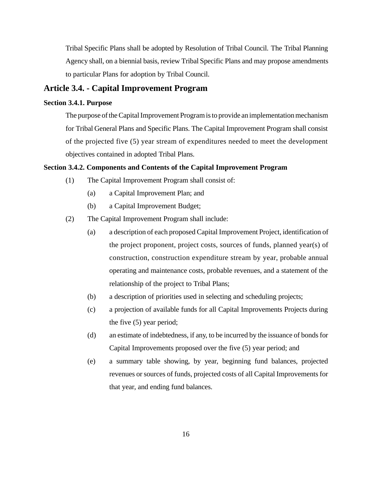Tribal Specific Plans shall be adopted by Resolution of Tribal Council. The Tribal Planning Agency shall, on a biennial basis, review Tribal Specific Plans and may propose amendments to particular Plans for adoption by Tribal Council.

# **Article 3.4. - Capital Improvement Program**

# **Section 3.4.1. Purpose**

The purpose of the Capital Improvement Program is to provide an implementation mechanism for Tribal General Plans and Specific Plans. The Capital Improvement Program shall consist of the projected five (5) year stream of expenditures needed to meet the development objectives contained in adopted Tribal Plans.

#### **Section 3.4.2. Components and Contents of the Capital Improvement Program**

- (1) The Capital Improvement Program shall consist of:
	- (a) a Capital Improvement Plan; and
	- (b) a Capital Improvement Budget;
- (2) The Capital Improvement Program shall include:
	- (a) a description of each proposed Capital Improvement Project, identification of the project proponent, project costs, sources of funds, planned year(s) of construction, construction expenditure stream by year, probable annual operating and maintenance costs, probable revenues, and a statement of the relationship of the project to Tribal Plans;
	- (b) a description of priorities used in selecting and scheduling projects;
	- (c) a projection of available funds for all Capital Improvements Projects during the five (5) year period;
	- (d) an estimate of indebtedness, if any, to be incurred by the issuance of bonds for Capital Improvements proposed over the five (5) year period; and
	- (e) a summary table showing, by year, beginning fund balances, projected revenues or sources of funds, projected costs of all Capital Improvements for that year, and ending fund balances.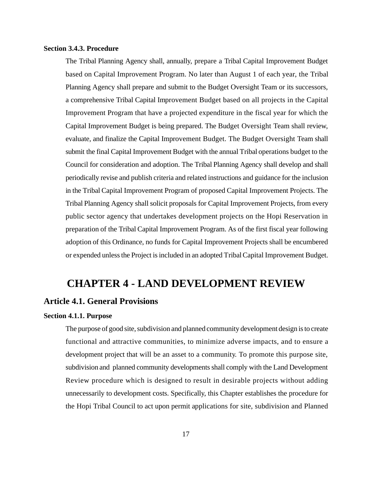#### **Section 3.4.3. Procedure**

The Tribal Planning Agency shall, annually, prepare a Tribal Capital Improvement Budget based on Capital Improvement Program. No later than August 1 of each year, the Tribal Planning Agency shall prepare and submit to the Budget Oversight Team or its successors, a comprehensive Tribal Capital Improvement Budget based on all projects in the Capital Improvement Program that have a projected expenditure in the fiscal year for which the Capital Improvement Budget is being prepared. The Budget Oversight Team shall review, evaluate, and finalize the Capital Improvement Budget. The Budget Oversight Team shall submit the final Capital Improvement Budget with the annual Tribal operations budget to the Council for consideration and adoption. The Tribal Planning Agency shall develop and shall periodically revise and publish criteria and related instructions and guidance for the inclusion in the Tribal Capital Improvement Program of proposed Capital Improvement Projects. The Tribal Planning Agency shall solicit proposals for Capital Improvement Projects, from every public sector agency that undertakes development projects on the Hopi Reservation in preparation of the Tribal Capital Improvement Program. As of the first fiscal year following adoption of this Ordinance, no funds for Capital Improvement Projects shall be encumbered or expended unless the Project is included in an adopted Tribal Capital Improvement Budget.

# **CHAPTER 4 - LAND DEVELOPMENT REVIEW**

# **Article 4.1. General Provisions**

#### **Section 4.1.1. Purpose**

The purpose of good site, subdivision and planned community development design is to create functional and attractive communities, to minimize adverse impacts, and to ensure a development project that will be an asset to a community. To promote this purpose site, subdivision and planned community developments shall comply with the Land Development Review procedure which is designed to result in desirable projects without adding unnecessarily to development costs. Specifically, this Chapter establishes the procedure for the Hopi Tribal Council to act upon permit applications for site, subdivision and Planned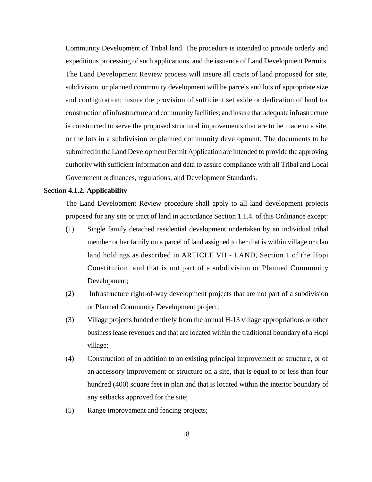Community Development of Tribal land. The procedure is intended to provide orderly and expeditious processing of such applications, and the issuance of Land Development Permits. The Land Development Review process will insure all tracts of land proposed for site, subdivision, or planned community development will be parcels and lots of appropriate size and configuration; insure the provision of sufficient set aside or dedication of land for construction of infrastructure and community facilities; and insure that adequate infrastructure is constructed to serve the proposed structural improvements that are to be made to a site, or the lots in a subdivision or planned community development. The documents to be submitted in the Land Development Permit Application are intended to provide the approving authority with sufficient information and data to assure compliance with all Tribal and Local Government ordinances, regulations, and Development Standards.

#### **Section 4.1.2. Applicability**

The Land Development Review procedure shall apply to all land development projects proposed for any site or tract of land in accordance Section 1.1.4. of this Ordinance except:

- (1) Single family detached residential development undertaken by an individual tribal member or her family on a parcel of land assigned to her that is within village or clan land holdings as described in ARTICLE VII - LAND, Section 1 of the Hopi Constitution and that is not part of a subdivision or Planned Community Development;
- (2) Infrastructure right-of-way development projects that are not part of a subdivision or Planned Community Development project;
- (3) Village projects funded entirely from the annual H-13 village appropriations or other business lease revenues and that are located within the traditional boundary of a Hopi village;
- (4) Construction of an addition to an existing principal improvement or structure, or of an accessory improvement or structure on a site, that is equal to or less than four hundred (400) square feet in plan and that is located within the interior boundary of any setbacks approved for the site;
- (5) Range improvement and fencing projects;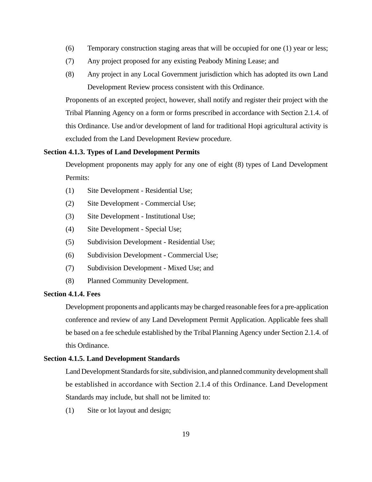- (6) Temporary construction staging areas that will be occupied for one (1) year or less;
- (7) Any project proposed for any existing Peabody Mining Lease; and
- (8) Any project in any Local Government jurisdiction which has adopted its own Land Development Review process consistent with this Ordinance.

Proponents of an excepted project, however, shall notify and register their project with the Tribal Planning Agency on a form or forms prescribed in accordance with Section 2.1.4. of this Ordinance. Use and/or development of land for traditional Hopi agricultural activity is excluded from the Land Development Review procedure.

# **Section 4.1.3. Types of Land Development Permits**

Development proponents may apply for any one of eight (8) types of Land Development Permits:

- (1) Site Development Residential Use;
- (2) Site Development Commercial Use;
- (3) Site Development Institutional Use;
- (4) Site Development Special Use;
- (5) Subdivision Development Residential Use;
- (6) Subdivision Development Commercial Use;
- (7) Subdivision Development Mixed Use; and
- (8) Planned Community Development.

#### **Section 4.1.4. Fees**

Development proponents and applicants may be charged reasonable fees for a pre-application conference and review of any Land Development Permit Application. Applicable fees shall be based on a fee schedule established by the Tribal Planning Agency under Section 2.1.4. of this Ordinance.

#### **Section 4.1.5. Land Development Standards**

Land Development Standards for site, subdivision, and planned community development shall be established in accordance with Section 2.1.4 of this Ordinance. Land Development Standards may include, but shall not be limited to:

(1) Site or lot layout and design;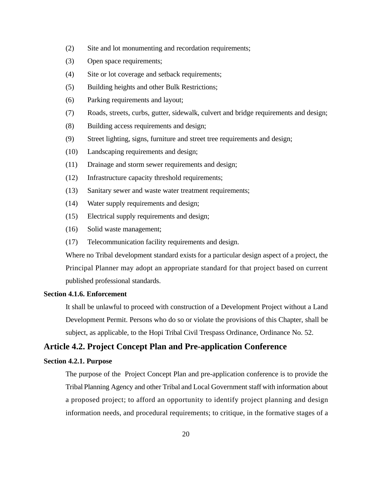- (2) Site and lot monumenting and recordation requirements;
- (3) Open space requirements;
- (4) Site or lot coverage and setback requirements;
- (5) Building heights and other Bulk Restrictions;
- (6) Parking requirements and layout;
- (7) Roads, streets, curbs, gutter, sidewalk, culvert and bridge requirements and design;
- (8) Building access requirements and design;
- (9) Street lighting, signs, furniture and street tree requirements and design;
- (10) Landscaping requirements and design;
- (11) Drainage and storm sewer requirements and design;
- (12) Infrastructure capacity threshold requirements;
- (13) Sanitary sewer and waste water treatment requirements;
- (14) Water supply requirements and design;
- (15) Electrical supply requirements and design;
- (16) Solid waste management;
- (17) Telecommunication facility requirements and design.

Where no Tribal development standard exists for a particular design aspect of a project, the Principal Planner may adopt an appropriate standard for that project based on current published professional standards.

#### **Section 4.1.6. Enforcement**

It shall be unlawful to proceed with construction of a Development Project without a Land Development Permit. Persons who do so or violate the provisions of this Chapter, shall be subject, as applicable, to the Hopi Tribal Civil Trespass Ordinance, Ordinance No. 52.

# **Article 4.2. Project Concept Plan and Pre-application Conference**

#### **Section 4.2.1. Purpose**

The purpose of the Project Concept Plan and pre-application conference is to provide the Tribal Planning Agency and other Tribal and Local Government staff with information about a proposed project; to afford an opportunity to identify project planning and design information needs, and procedural requirements; to critique, in the formative stages of a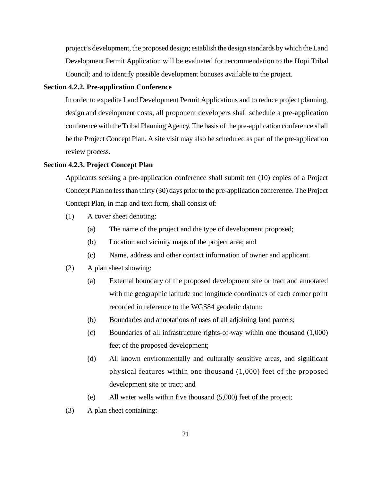project's development, the proposed design; establish the design standards by which the Land Development Permit Application will be evaluated for recommendation to the Hopi Tribal Council; and to identify possible development bonuses available to the project.

## **Section 4.2.2. Pre-application Conference**

In order to expedite Land Development Permit Applications and to reduce project planning, design and development costs, all proponent developers shall schedule a pre-application conference with the Tribal Planning Agency. The basis of the pre-application conference shall be the Project Concept Plan. A site visit may also be scheduled as part of the pre-application review process.

#### **Section 4.2.3. Project Concept Plan**

Applicants seeking a pre-application conference shall submit ten (10) copies of a Project Concept Plan no less than thirty (30) days prior to the pre-application conference. The Project Concept Plan, in map and text form, shall consist of:

- (1) A cover sheet denoting:
	- (a) The name of the project and the type of development proposed;
	- (b) Location and vicinity maps of the project area; and
	- (c) Name, address and other contact information of owner and applicant.
- (2) A plan sheet showing:
	- (a) External boundary of the proposed development site or tract and annotated with the geographic latitude and longitude coordinates of each corner point recorded in reference to the WGS84 geodetic datum;
	- (b) Boundaries and annotations of uses of all adjoining land parcels;
	- (c) Boundaries of all infrastructure rights-of-way within one thousand (1,000) feet of the proposed development;
	- (d) All known environmentally and culturally sensitive areas, and significant physical features within one thousand (1,000) feet of the proposed development site or tract; and
	- (e) All water wells within five thousand (5,000) feet of the project;
- (3) A plan sheet containing: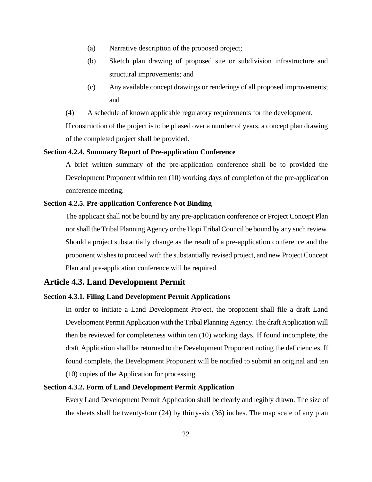- (a) Narrative description of the proposed project;
- (b) Sketch plan drawing of proposed site or subdivision infrastructure and structural improvements; and
- (c) Any available concept drawings or renderings of all proposed improvements; and
- (4) A schedule of known applicable regulatory requirements for the development.

If construction of the project is to be phased over a number of years, a concept plan drawing of the completed project shall be provided.

# **Section 4.2.4. Summary Report of Pre-application Conference**

A brief written summary of the pre-application conference shall be to provided the Development Proponent within ten (10) working days of completion of the pre-application conference meeting.

#### **Section 4.2.5. Pre-application Conference Not Binding**

The applicant shall not be bound by any pre-application conference or Project Concept Plan nor shall the Tribal Planning Agency or the Hopi Tribal Council be bound by any such review. Should a project substantially change as the result of a pre-application conference and the proponent wishes to proceed with the substantially revised project, and new Project Concept Plan and pre-application conference will be required.

## **Article 4.3. Land Development Permit**

## **Section 4.3.1. Filing Land Development Permit Applications**

In order to initiate a Land Development Project, the proponent shall file a draft Land Development Permit Application with the Tribal Planning Agency. The draft Application will then be reviewed for completeness within ten (10) working days. If found incomplete, the draft Application shall be returned to the Development Proponent noting the deficiencies. If found complete, the Development Proponent will be notified to submit an original and ten (10) copies of the Application for processing.

# **Section 4.3.2. Form of Land Development Permit Application**

Every Land Development Permit Application shall be clearly and legibly drawn. The size of the sheets shall be twenty-four (24) by thirty-six (36) inches. The map scale of any plan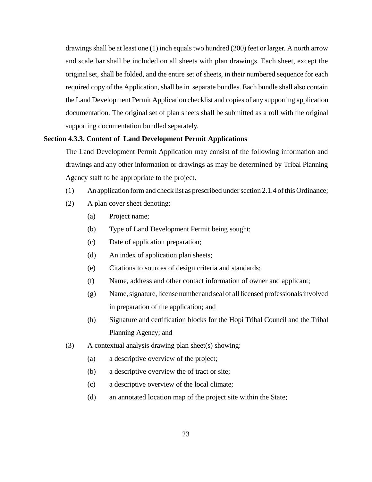drawings shall be at least one (1) inch equals two hundred (200) feet or larger. A north arrow and scale bar shall be included on all sheets with plan drawings. Each sheet, except the original set, shall be folded, and the entire set of sheets, in their numbered sequence for each required copy of the Application, shall be in separate bundles. Each bundle shall also contain the Land Development Permit Application checklist and copies of any supporting application documentation. The original set of plan sheets shall be submitted as a roll with the original supporting documentation bundled separately.

#### **Section 4.3.3. Content of Land Development Permit Applications**

The Land Development Permit Application may consist of the following information and drawings and any other information or drawings as may be determined by Tribal Planning Agency staff to be appropriate to the project.

- (1) An application form and check list as prescribed under section 2.1.4 of this Ordinance;
- (2) A plan cover sheet denoting:
	- (a) Project name;
	- (b) Type of Land Development Permit being sought;
	- (c) Date of application preparation;
	- (d) An index of application plan sheets;
	- (e) Citations to sources of design criteria and standards;
	- (f) Name, address and other contact information of owner and applicant;
	- (g) Name, signature, license number and seal of all licensed professionals involved in preparation of the application; and
	- (h) Signature and certification blocks for the Hopi Tribal Council and the Tribal Planning Agency; and
- (3) A contextual analysis drawing plan sheet(s) showing:
	- (a) a descriptive overview of the project;
	- (b) a descriptive overview the of tract or site;
	- (c) a descriptive overview of the local climate;
	- (d) an annotated location map of the project site within the State;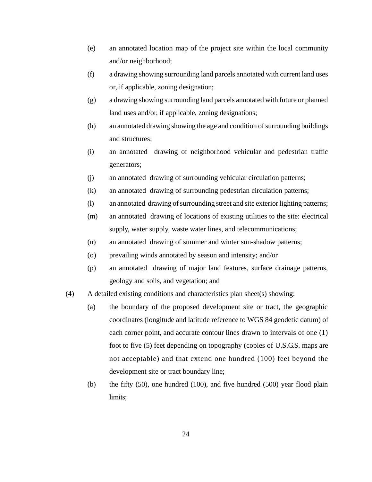- (e) an annotated location map of the project site within the local community and/or neighborhood;
- (f) a drawing showing surrounding land parcels annotated with current land uses or, if applicable, zoning designation;
- (g) a drawing showing surrounding land parcels annotated with future or planned land uses and/or, if applicable, zoning designations;
- (h) an annotated drawing showing the age and condition of surrounding buildings and structures;
- (i) an annotated drawing of neighborhood vehicular and pedestrian traffic generators;
- (j) an annotated drawing of surrounding vehicular circulation patterns;
- (k) an annotated drawing of surrounding pedestrian circulation patterns;
- (l) an annotated drawing of surrounding street and site exterior lighting patterns;
- (m) an annotated drawing of locations of existing utilities to the site: electrical supply, water supply, waste water lines, and telecommunications;
- (n) an annotated drawing of summer and winter sun-shadow patterns;
- (o) prevailing winds annotated by season and intensity; and/or
- (p) an annotated drawing of major land features, surface drainage patterns, geology and soils, and vegetation; and
- (4) A detailed existing conditions and characteristics plan sheet(s) showing:
	- (a) the boundary of the proposed development site or tract, the geographic coordinates (longitude and latitude reference to WGS 84 geodetic datum) of each corner point, and accurate contour lines drawn to intervals of one (1) foot to five (5) feet depending on topography (copies of U.S.G.S. maps are not acceptable) and that extend one hundred (100) feet beyond the development site or tract boundary line;
	- (b) the fifty (50), one hundred (100), and five hundred (500) year flood plain limits;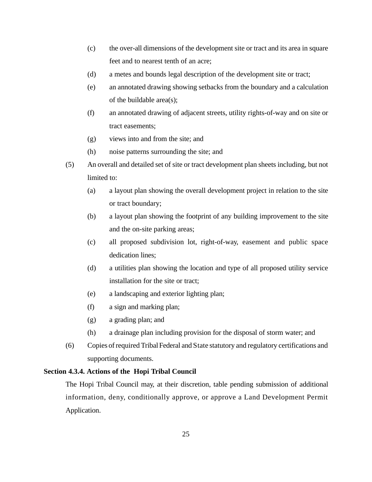- (c) the over-all dimensions of the development site or tract and its area in square feet and to nearest tenth of an acre;
- (d) a metes and bounds legal description of the development site or tract;
- (e) an annotated drawing showing setbacks from the boundary and a calculation of the buildable area(s);
- (f) an annotated drawing of adjacent streets, utility rights-of-way and on site or tract easements;
- (g) views into and from the site; and
- (h) noise patterns surrounding the site; and
- (5) An overall and detailed set of site or tract development plan sheets including, but not limited to:
	- (a) a layout plan showing the overall development project in relation to the site or tract boundary;
	- (b) a layout plan showing the footprint of any building improvement to the site and the on-site parking areas;
	- (c) all proposed subdivision lot, right-of-way, easement and public space dedication lines;
	- (d) a utilities plan showing the location and type of all proposed utility service installation for the site or tract;
	- (e) a landscaping and exterior lighting plan;
	- (f) a sign and marking plan;
	- (g) a grading plan; and
	- (h) a drainage plan including provision for the disposal of storm water; and
- (6) Copies of required Tribal Federal and State statutory and regulatory certifications and supporting documents.

#### **Section 4.3.4. Actions of the Hopi Tribal Council**

The Hopi Tribal Council may, at their discretion, table pending submission of additional information, deny, conditionally approve, or approve a Land Development Permit Application.